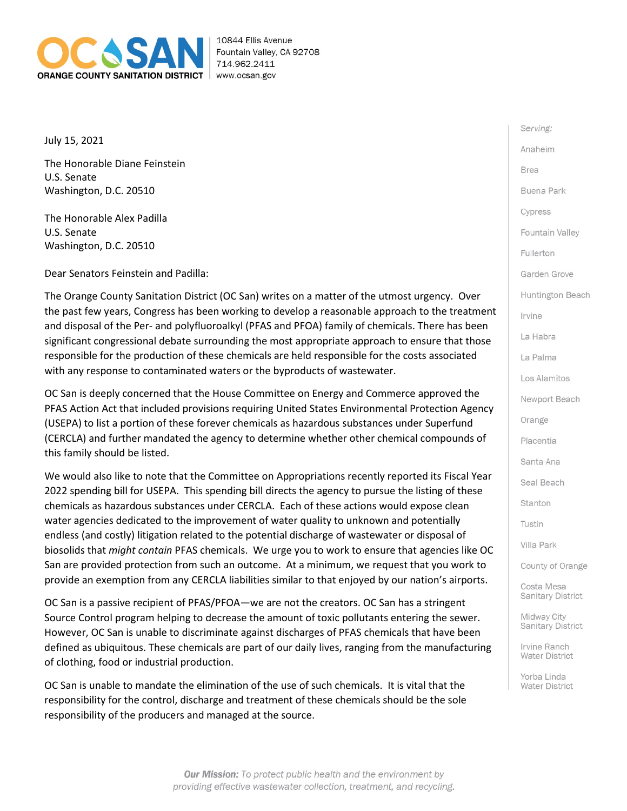

July 15, 2021

The Honorable Diane Feinstein U.S. Senate Washington, D.C. 20510

The Honorable Alex Padilla U.S. Senate Washington, D.C. 20510

Dear Senators Feinstein and Padilla:

The Orange County Sanitation District (OC San) writes on a matter of the utmost urgency. Over the past few years, Congress has been working to develop a reasonable approach to the treatment and disposal of the Per- and polyfluoroalkyl (PFAS and PFOA) family of chemicals. There has been significant congressional debate surrounding the most appropriate approach to ensure that those responsible for the production of these chemicals are held responsible for the costs associated with any response to contaminated waters or the byproducts of wastewater.

OC San is deeply concerned that the House Committee on Energy and Commerce approved the PFAS Action Act that included provisions requiring United States Environmental Protection Agency (USEPA) to list a portion of these forever chemicals as hazardous substances under Superfund (CERCLA) and further mandated the agency to determine whether other chemical compounds of this family should be listed.

We would also like to note that the Committee on Appropriations recently reported its Fiscal Year 2022 spending bill for USEPA. This spending bill directs the agency to pursue the listing of these chemicals as hazardous substances under CERCLA. Each of these actions would expose clean water agencies dedicated to the improvement of water quality to unknown and potentially endless (and costly) litigation related to the potential discharge of wastewater or disposal of biosolids that *might contain* PFAS chemicals. We urge you to work to ensure that agencies like OC San are provided protection from such an outcome. At a minimum, we request that you work to provide an exemption from any CERCLA liabilities similar to that enjoyed by our nation's airports.

OC San is a passive recipient of PFAS/PFOA—we are not the creators. OC San has a stringent Source Control program helping to decrease the amount of toxic pollutants entering the sewer. However, OC San is unable to discriminate against discharges of PFAS chemicals that have been defined as ubiquitous. These chemicals are part of our daily lives, ranging from the manufacturing of clothing, food or industrial production.

OC San is unable to mandate the elimination of the use of such chemicals. It is vital that the responsibility for the control, discharge and treatment of these chemicals should be the sole responsibility of the producers and managed at the source.

Serving: Anaheim **Brea Buena Park** Cypress Fountain Valley Fullerton Garden Grove Huntington Beach Irvine La Habra La Palma Los Alamitos Newport Beach Orange Placentia Santa Ana Seal Beach Stanton Tustin Villa Park County of Orange Costa Mesa Sanitary District Midway City Sanitary District Irvine Ranch **Water District**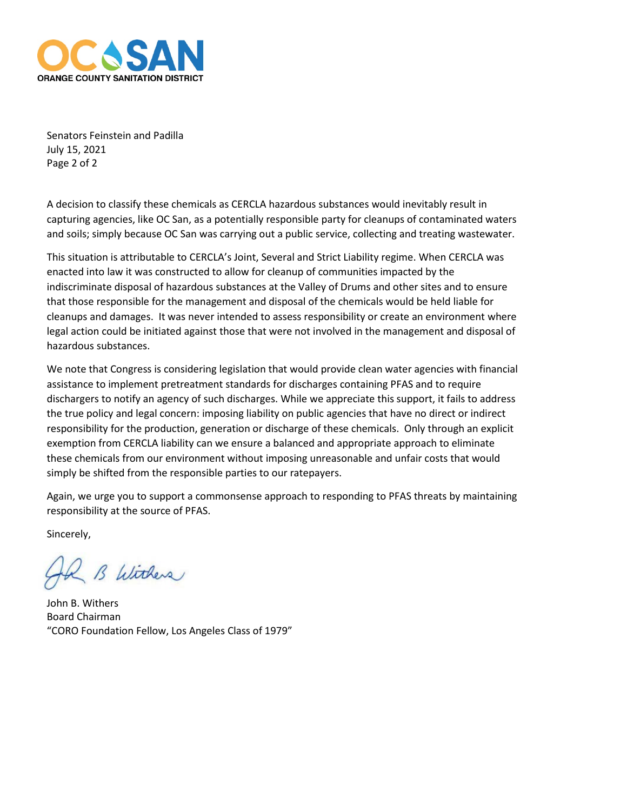

Senators Feinstein and Padilla July 15, 2021 Page 2 of 2

A decision to classify these chemicals as CERCLA hazardous substances would inevitably result in capturing agencies, like OC San, as a potentially responsible party for cleanups of contaminated waters and soils; simply because OC San was carrying out a public service, collecting and treating wastewater.

This situation is attributable to CERCLA's Joint, Several and Strict Liability regime. When CERCLA was enacted into law it was constructed to allow for cleanup of communities impacted by the indiscriminate disposal of hazardous substances at the Valley of Drums and other sites and to ensure that those responsible for the management and disposal of the chemicals would be held liable for cleanups and damages. It was never intended to assess responsibility or create an environment where legal action could be initiated against those that were not involved in the management and disposal of hazardous substances.

We note that Congress is considering legislation that would provide clean water agencies with financial assistance to implement pretreatment standards for discharges containing PFAS and to require dischargers to notify an agency of such discharges. While we appreciate this support, it fails to address the true policy and legal concern: imposing liability on public agencies that have no direct or indirect responsibility for the production, generation or discharge of these chemicals. Only through an explicit exemption from CERCLA liability can we ensure a balanced and appropriate approach to eliminate these chemicals from our environment without imposing unreasonable and unfair costs that would simply be shifted from the responsible parties to our ratepayers.

Again, we urge you to support a commonsense approach to responding to PFAS threats by maintaining responsibility at the source of PFAS.

R B Withers

John B. Withers Board Chairman "CORO Foundation Fellow, Los Angeles Class of 1979"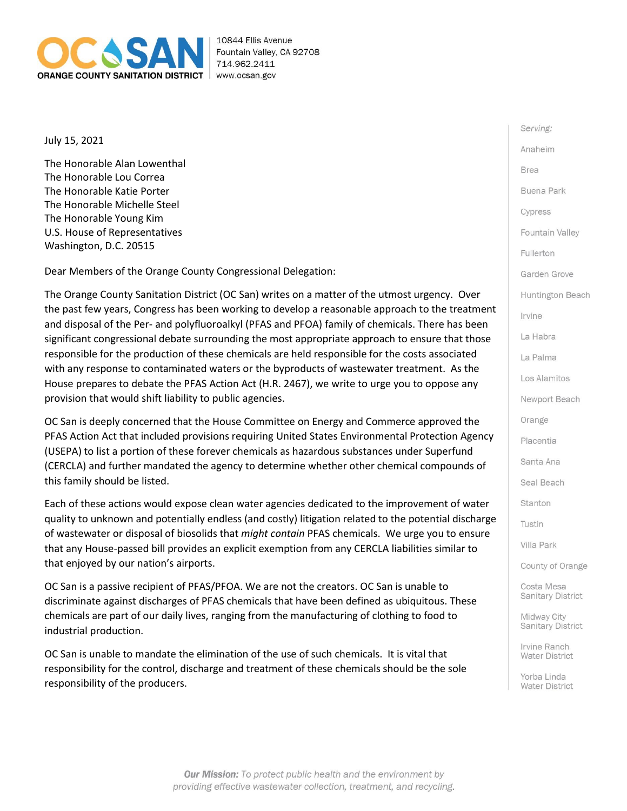

July 15, 2021

The Honorable Alan Lowenthal The Honorable Lou Correa The Honorable Katie Porter The Honorable Michelle Steel The Honorable Young Kim U.S. House of Representatives Washington, D.C. 20515

Dear Members of the Orange County Congressional Delegation:

The Orange County Sanitation District (OC San) writes on a matter of the utmost urgency. Over the past few years, Congress has been working to develop a reasonable approach to the treatment and disposal of the Per- and polyfluoroalkyl (PFAS and PFOA) family of chemicals. There has been significant congressional debate surrounding the most appropriate approach to ensure that those responsible for the production of these chemicals are held responsible for the costs associated with any response to contaminated waters or the byproducts of wastewater treatment. As the House prepares to debate the PFAS Action Act (H.R. 2467), we write to urge you to oppose any provision that would shift liability to public agencies.

OC San is deeply concerned that the House Committee on Energy and Commerce approved the PFAS Action Act that included provisions requiring United States Environmental Protection Agency (USEPA) to list a portion of these forever chemicals as hazardous substances under Superfund (CERCLA) and further mandated the agency to determine whether other chemical compounds of this family should be listed.

Each of these actions would expose clean water agencies dedicated to the improvement of water quality to unknown and potentially endless (and costly) litigation related to the potential discharge of wastewater or disposal of biosolids that *might contain* PFAS chemicals. We urge you to ensure that any House-passed bill provides an explicit exemption from any CERCLA liabilities similar to that enjoyed by our nation's airports.

OC San is a passive recipient of PFAS/PFOA. We are not the creators. OC San is unable to discriminate against discharges of PFAS chemicals that have been defined as ubiquitous. These chemicals are part of our daily lives, ranging from the manufacturing of clothing to food to industrial production.

OC San is unable to mandate the elimination of the use of such chemicals. It is vital that responsibility for the control, discharge and treatment of these chemicals should be the sole responsibility of the producers.

Serving: Anaheim **Brea Buena Park** Cypress Fountain Valley Fullerton Garden Grove Huntington Beach Irvine La Habra La Palma Los Alamitos Newport Beach Orange Placentia Santa Ana Seal Beach Stanton Tustin Villa Park County of Orange Costa Mesa Sanitary District Midway City Sanitary District Irvine Ranch **Water District**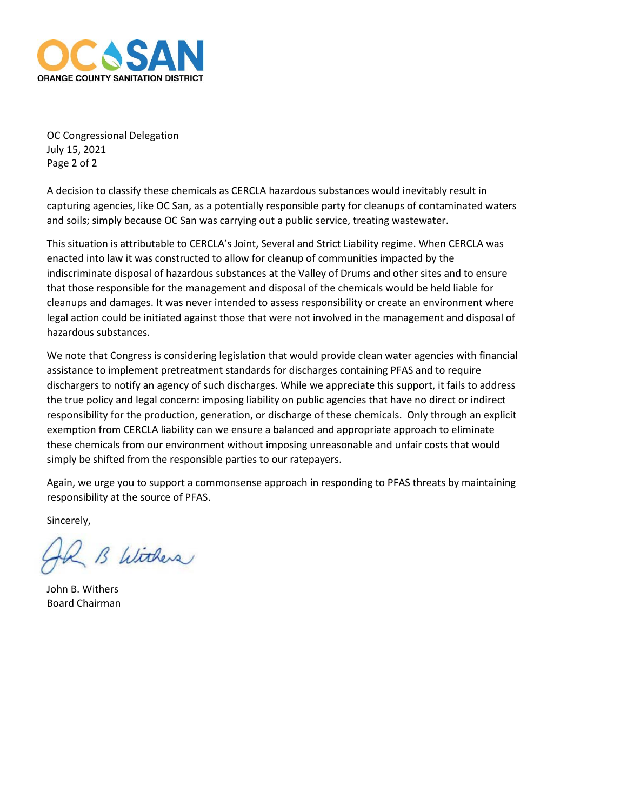

OC Congressional Delegation July 15, 2021 Page 2 of 2

A decision to classify these chemicals as CERCLA hazardous substances would inevitably result in capturing agencies, like OC San, as a potentially responsible party for cleanups of contaminated waters and soils; simply because OC San was carrying out a public service, treating wastewater.

This situation is attributable to CERCLA's Joint, Several and Strict Liability regime. When CERCLA was enacted into law it was constructed to allow for cleanup of communities impacted by the indiscriminate disposal of hazardous substances at the Valley of Drums and other sites and to ensure that those responsible for the management and disposal of the chemicals would be held liable for cleanups and damages. It was never intended to assess responsibility or create an environment where legal action could be initiated against those that were not involved in the management and disposal of hazardous substances.

We note that Congress is considering legislation that would provide clean water agencies with financial assistance to implement pretreatment standards for discharges containing PFAS and to require dischargers to notify an agency of such discharges. While we appreciate this support, it fails to address the true policy and legal concern: imposing liability on public agencies that have no direct or indirect responsibility for the production, generation, or discharge of these chemicals. Only through an explicit exemption from CERCLA liability can we ensure a balanced and appropriate approach to eliminate these chemicals from our environment without imposing unreasonable and unfair costs that would simply be shifted from the responsible parties to our ratepayers.

Again, we urge you to support a commonsense approach in responding to PFAS threats by maintaining responsibility at the source of PFAS.

B Withers

John B. Withers Board Chairman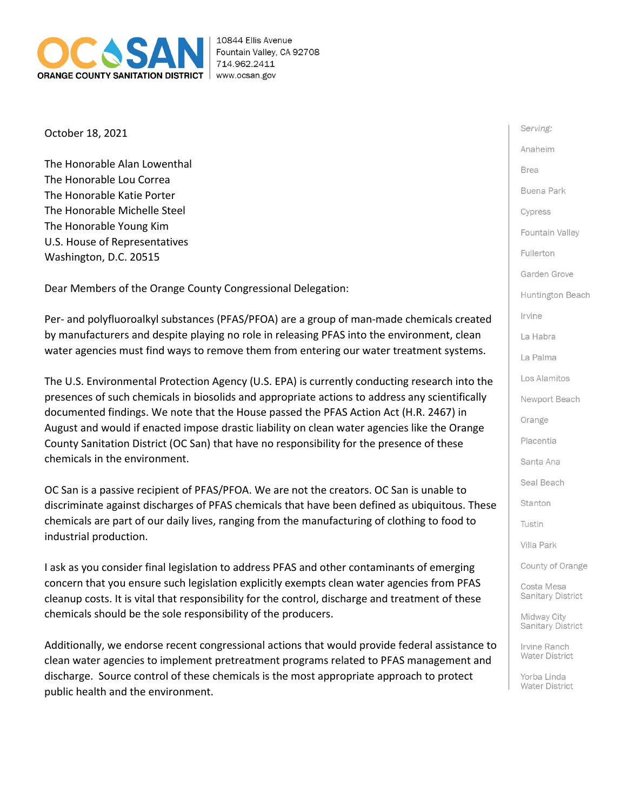

October 18, 2021

The Honorable Alan Lowenthal The Honorable Lou Correa The Honorable Katie Porter The Honorable Michelle Steel The Honorable Young Kim U.S. House of Representatives Washington, D.C. 20515

Dear Members of the Orange County Congressional Delegation:

Per- and polyfluoroalkyl substances (PFAS/PFOA) are a group of man-made chemicals created by manufacturers and despite playing no role in releasing PFAS into the environment, clean water agencies must find ways to remove them from entering our water treatment systems.

The U.S. Environmental Protection Agency (U.S. EPA) is currently conducting research into the presences of such chemicals in biosolids and appropriate actions to address any scientifically documented findings. We note that the House passed the PFAS Action Act (H.R. 2467) in August and would if enacted impose drastic liability on clean water agencies like the Orange County Sanitation District (OC San) that have no responsibility for the presence of these chemicals in the environment.

OC San is a passive recipient of PFAS/PFOA. We are not the creators. OC San is unable to discriminate against discharges of PFAS chemicals that have been defined as ubiquitous. These chemicals are part of our daily lives, ranging from the manufacturing of clothing to food to industrial production.

I ask as you consider final legislation to address PFAS and other contaminants of emerging concern that you ensure such legislation explicitly exempts clean water agencies from PFAS cleanup costs. It is vital that responsibility for the control, discharge and treatment of these chemicals should be the sole responsibility of the producers.

Additionally, we endorse recent congressional actions that would provide federal assistance to clean water agencies to implement pretreatment programs related to PFAS management and discharge. Source control of these chemicals is the most appropriate approach to protect public health and the environment.

Serving: Anaheim **Brea Buena Park** Cvpress Fountain Valley Fullerton Garden Grove Huntington Beach Irvine La Habra La Palma Los Alamitos Newport Beach Orange Placentia Santa Ana Seal Beach Stanton Tustin Villa Park County of Orange Costa Mesa Sanitary District Midway City Sanitary District Irvine Ranch **Water District**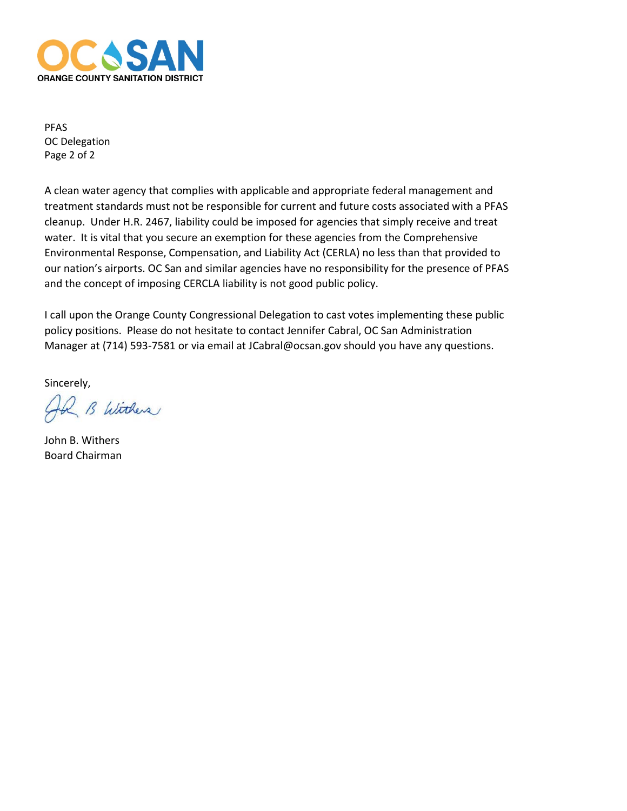

PFAS OC Delegation Page 2 of 2

A clean water agency that complies with applicable and appropriate federal management and treatment standards must not be responsible for current and future costs associated with a PFAS cleanup. Under H.R. 2467, liability could be imposed for agencies that simply receive and treat water. It is vital that you secure an exemption for these agencies from the Comprehensive Environmental Response, Compensation, and Liability Act (CERLA) no less than that provided to our nation's airports. OC San and similar agencies have no responsibility for the presence of PFAS and the concept of imposing CERCLA liability is not good public policy.

I call upon the Orange County Congressional Delegation to cast votes implementing these public policy positions. Please do not hesitate to contact Jennifer Cabral, OC San Administration Manager at (714) 593-7581 or via email at JCabral@ocsan.gov should you have any questions.

AR B Withers

John B. Withers Board Chairman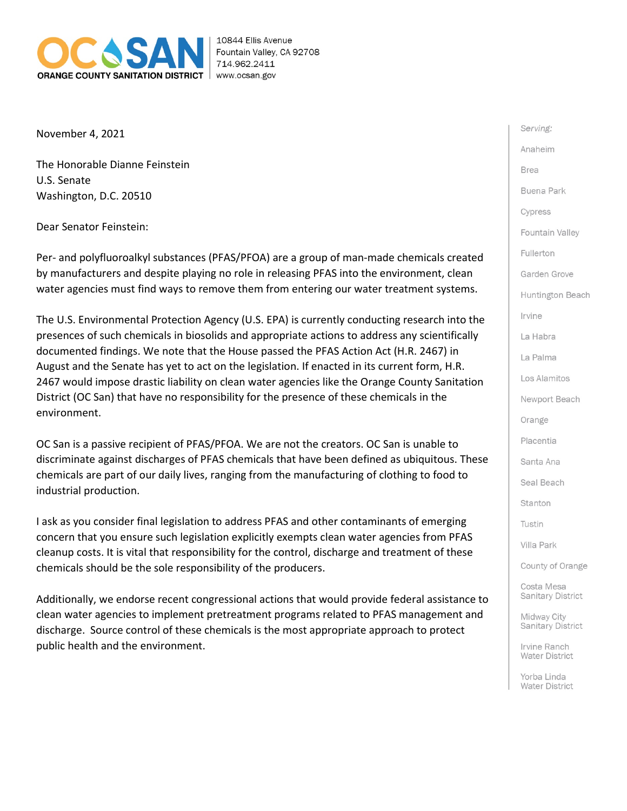

November 4, 2021

The Honorable Dianne Feinstein U.S. Senate Washington, D.C. 20510

Dear Senator Feinstein:

Per- and polyfluoroalkyl substances (PFAS/PFOA) are a group of man-made chemicals created by manufacturers and despite playing no role in releasing PFAS into the environment, clean water agencies must find ways to remove them from entering our water treatment systems.

The U.S. Environmental Protection Agency (U.S. EPA) is currently conducting research into the presences of such chemicals in biosolids and appropriate actions to address any scientifically documented findings. We note that the House passed the PFAS Action Act (H.R. 2467) in August and the Senate has yet to act on the legislation. If enacted in its current form, H.R. 2467 would impose drastic liability on clean water agencies like the Orange County Sanitation District (OC San) that have no responsibility for the presence of these chemicals in the environment.

OC San is a passive recipient of PFAS/PFOA. We are not the creators. OC San is unable to discriminate against discharges of PFAS chemicals that have been defined as ubiquitous. These chemicals are part of our daily lives, ranging from the manufacturing of clothing to food to industrial production.

I ask as you consider final legislation to address PFAS and other contaminants of emerging concern that you ensure such legislation explicitly exempts clean water agencies from PFAS cleanup costs. It is vital that responsibility for the control, discharge and treatment of these chemicals should be the sole responsibility of the producers.

Additionally, we endorse recent congressional actions that would provide federal assistance to clean water agencies to implement pretreatment programs related to PFAS management and discharge. Source control of these chemicals is the most appropriate approach to protect public health and the environment.

Serving: Anaheim **Brea Buena Park** Cypress Fountain Valley Fullerton Garden Grove Huntington Beach Irvine La Habra La Palma Los Alamitos Newport Beach Orange Placentia Santa Ana Seal Beach Stanton Tustin Villa Park County of Orange Costa Mesa Sanitary District Midway City Sanitary District Irvine Ranch **Water District**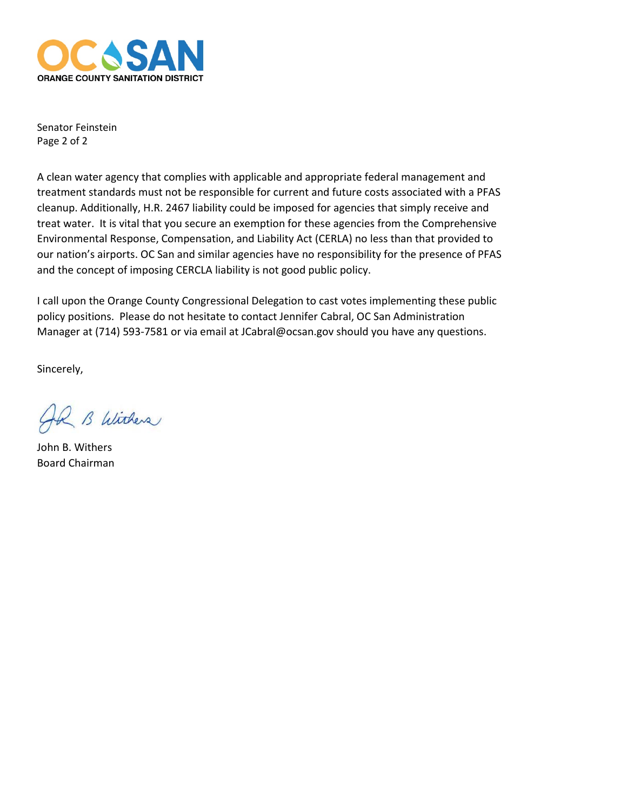

Senator Feinstein Page 2 of 2

A clean water agency that complies with applicable and appropriate federal management and treatment standards must not be responsible for current and future costs associated with a PFAS cleanup. Additionally, H.R. 2467 liability could be imposed for agencies that simply receive and treat water. It is vital that you secure an exemption for these agencies from the Comprehensive Environmental Response, Compensation, and Liability Act (CERLA) no less than that provided to our nation's airports. OC San and similar agencies have no responsibility for the presence of PFAS and the concept of imposing CERCLA liability is not good public policy.

I call upon the Orange County Congressional Delegation to cast votes implementing these public policy positions. Please do not hesitate to contact Jennifer Cabral, OC San Administration Manager at (714) 593-7581 or via email at JCabral@ocsan.gov should you have any questions.

R B Withers

John B. Withers Board Chairman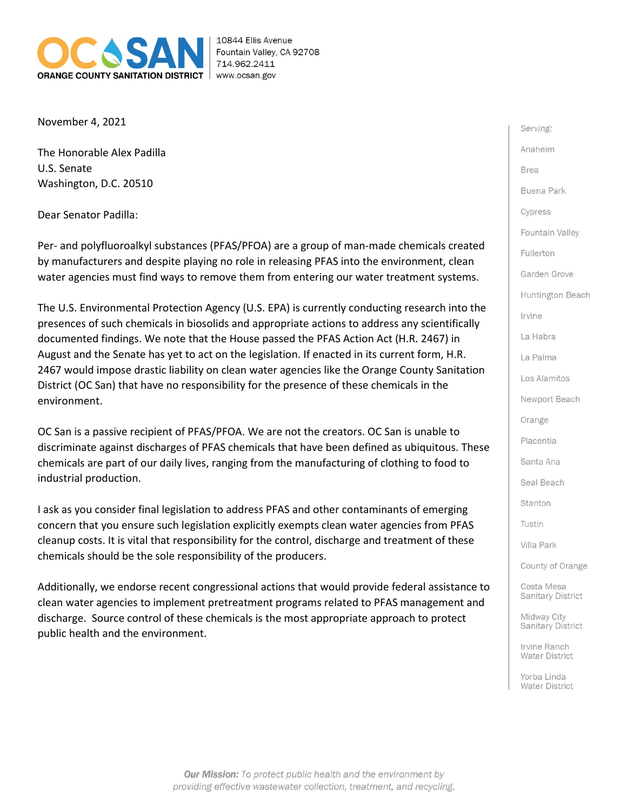

November 4, 2021

The Honorable Alex Padilla U.S. Senate Washington, D.C. 20510

Dear Senator Padilla:

Per- and polyfluoroalkyl substances (PFAS/PFOA) are a group of man-made chemicals created by manufacturers and despite playing no role in releasing PFAS into the environment, clean water agencies must find ways to remove them from entering our water treatment systems.

The U.S. Environmental Protection Agency (U.S. EPA) is currently conducting research into the presences of such chemicals in biosolids and appropriate actions to address any scientifically documented findings. We note that the House passed the PFAS Action Act (H.R. 2467) in August and the Senate has yet to act on the legislation. If enacted in its current form, H.R. 2467 would impose drastic liability on clean water agencies like the Orange County Sanitation District (OC San) that have no responsibility for the presence of these chemicals in the environment.

OC San is a passive recipient of PFAS/PFOA. We are not the creators. OC San is unable to discriminate against discharges of PFAS chemicals that have been defined as ubiquitous. These chemicals are part of our daily lives, ranging from the manufacturing of clothing to food to industrial production.

I ask as you consider final legislation to address PFAS and other contaminants of emerging concern that you ensure such legislation explicitly exempts clean water agencies from PFAS cleanup costs. It is vital that responsibility for the control, discharge and treatment of these chemicals should be the sole responsibility of the producers.

Additionally, we endorse recent congressional actions that would provide federal assistance to clean water agencies to implement pretreatment programs related to PFAS management and discharge. Source control of these chemicals is the most appropriate approach to protect public health and the environment.

Serving: Anaheim **Brea Buena Park** Cypress Fountain Valley Fullerton Garden Grove Huntington Beach Irvine La Habra La Palma Los Alamitos Newport Beach Orange Placentia Santa Ana Seal Beach Stanton Tustin Villa Park County of Orange Costa Mesa Sanitary District Midway City Sanitary District Irvine Ranch **Water District**